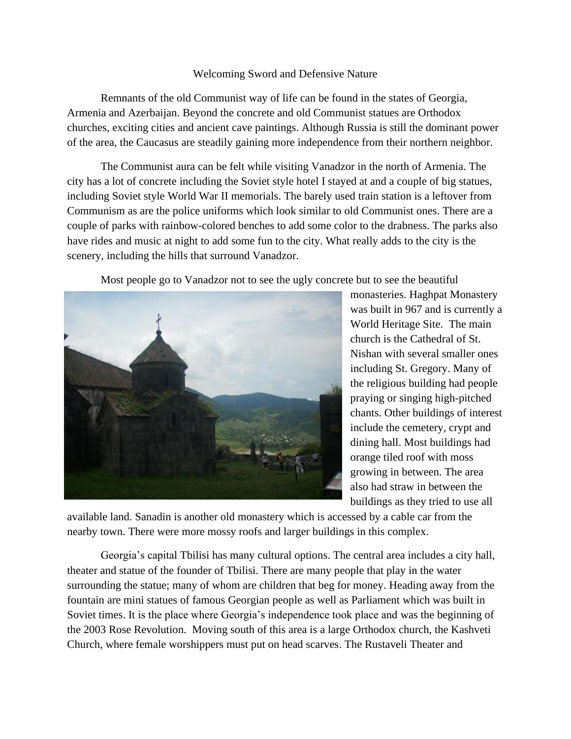## Welcoming Sword and Defensive Nature

Remnants of the old Communist way of life can be found in the states of Georgia, Armenia and Azerbaijan. Beyond the concrete and old Communist statues are Orthodox churches, exciting cities and ancient cave paintings. Although Russia is still the dominant power of the area, the Caucasus are steadily gaining more independence from their northern neighbor.

The Communist aura can be felt while visiting Vanadzor in the north of Armenia. The city has a lot of concrete including the Soviet style hotel I stayed at and a couple of big statues, including Soviet style World War II memorials. The barely used train station is a leftover from Communism as are the police uniforms which look similar to old Communist ones. There are a couple of parks with rainbow-colored benches to add some color to the drabness. The parks also have rides and music at night to add some fun to the city. What really adds to the city is the scenery, including the hills that surround Vanadzor.

Most people go to Vanadzor not to see the ugly concrete but to see the beautiful



monasteries. Haghpat Monastery was built in 967 and is currently a World Heritage Site. The main church is the Cathedral of St. Nishan with several smaller ones including St. Gregory. Many of the religious building had people praying or singing high-pitched chants. Other buildings of interest include the cemetery, crypt and dining hall. Most buildings had orange tiled roof with moss growing in between. The area also had straw in between the buildings as they tried to use all

available land. Sanadin is another old monastery which is accessed by a cable car from the nearby town. There were more mossy roofs and larger buildings in this complex.

Georgia's capital Tbilisi has many cultural options. The central area includes a city hall, theater and statue of the founder of Tbilisi. There are many people that play in the water surrounding the statue; many of whom are children that beg for money. Heading away from the fountain are mini statues of famous Georgian people as well as Parliament which was built in Soviet times. It is the place where Georgia's independence took place and was the beginning of the 2003 Rose Revolution. Moving south of this area is a large Orthodox church, the Kashveti Church, where female worshippers must put on head scarves. The Rustaveli Theater and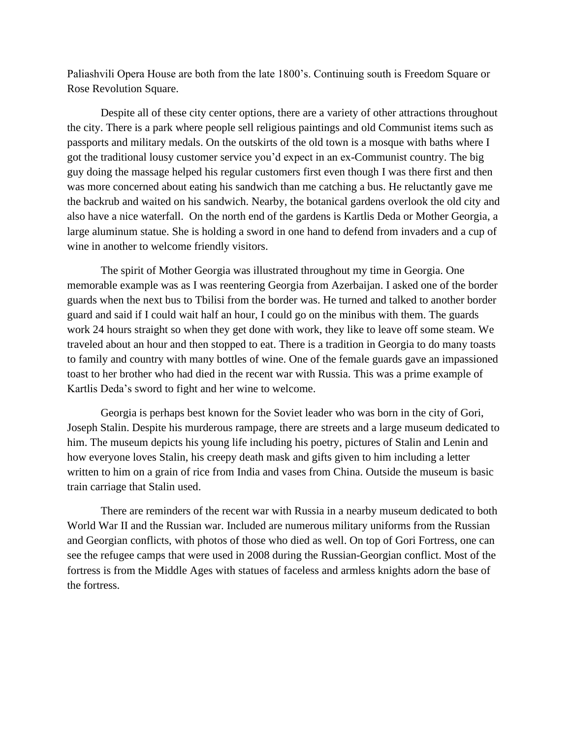Paliashvili Opera House are both from the late 1800's. Continuing south is Freedom Square or Rose Revolution Square.

Despite all of these city center options, there are a variety of other attractions throughout the city. There is a park where people sell religious paintings and old Communist items such as passports and military medals. On the outskirts of the old town is a mosque with baths where I got the traditional lousy customer service you'd expect in an ex-Communist country. The big guy doing the massage helped his regular customers first even though I was there first and then was more concerned about eating his sandwich than me catching a bus. He reluctantly gave me the backrub and waited on his sandwich. Nearby, the botanical gardens overlook the old city and also have a nice waterfall. On the north end of the gardens is Kartlis Deda or Mother Georgia, a large aluminum statue. She is holding a sword in one hand to defend from invaders and a cup of wine in another to welcome friendly visitors.

The spirit of Mother Georgia was illustrated throughout my time in Georgia. One memorable example was as I was reentering Georgia from Azerbaijan. I asked one of the border guards when the next bus to Tbilisi from the border was. He turned and talked to another border guard and said if I could wait half an hour, I could go on the minibus with them. The guards work 24 hours straight so when they get done with work, they like to leave off some steam. We traveled about an hour and then stopped to eat. There is a tradition in Georgia to do many toasts to family and country with many bottles of wine. One of the female guards gave an impassioned toast to her brother who had died in the recent war with Russia. This was a prime example of Kartlis Deda's sword to fight and her wine to welcome.

Georgia is perhaps best known for the Soviet leader who was born in the city of Gori, Joseph Stalin. Despite his murderous rampage, there are streets and a large museum dedicated to him. The museum depicts his young life including his poetry, pictures of Stalin and Lenin and how everyone loves Stalin, his creepy death mask and gifts given to him including a letter written to him on a grain of rice from India and vases from China. Outside the museum is basic train carriage that Stalin used.

There are reminders of the recent war with Russia in a nearby museum dedicated to both World War II and the Russian war. Included are numerous military uniforms from the Russian and Georgian conflicts, with photos of those who died as well. On top of Gori Fortress, one can see the refugee camps that were used in 2008 during the Russian-Georgian conflict. Most of the fortress is from the Middle Ages with statues of faceless and armless knights adorn the base of the fortress.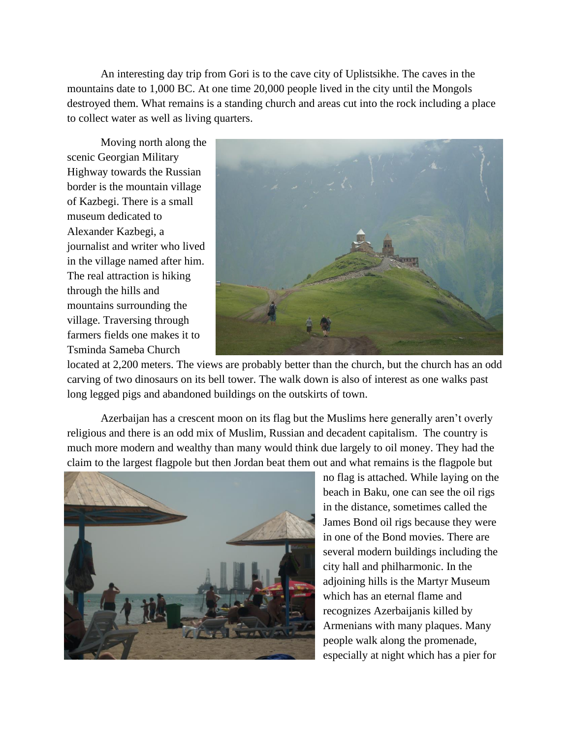An interesting day trip from Gori is to the cave city of Uplistsikhe. The caves in the mountains date to 1,000 BC. At one time 20,000 people lived in the city until the Mongols destroyed them. What remains is a standing church and areas cut into the rock including a place to collect water as well as living quarters.

Moving north along the scenic Georgian Military Highway towards the Russian border is the mountain village of Kazbegi. There is a small museum dedicated to Alexander Kazbegi, a journalist and writer who lived in the village named after him. The real attraction is hiking through the hills and mountains surrounding the village. Traversing through farmers fields one makes it to Tsminda Sameba Church



located at 2,200 meters. The views are probably better than the church, but the church has an odd carving of two dinosaurs on its bell tower. The walk down is also of interest as one walks past long legged pigs and abandoned buildings on the outskirts of town.

Azerbaijan has a crescent moon on its flag but the Muslims here generally aren't overly religious and there is an odd mix of Muslim, Russian and decadent capitalism. The country is much more modern and wealthy than many would think due largely to oil money. They had the claim to the largest flagpole but then Jordan beat them out and what remains is the flagpole but



no flag is attached. While laying on the beach in Baku, one can see the oil rigs in the distance, sometimes called the James Bond oil rigs because they were in one of the Bond movies. There are several modern buildings including the city hall and philharmonic. In the adioining hills is the Martyr Museum which has an eternal flame and recognizes Azerbaijanis killed by Armenians with many plaques. Many people walk along the promenade, especially at night which has a pier for